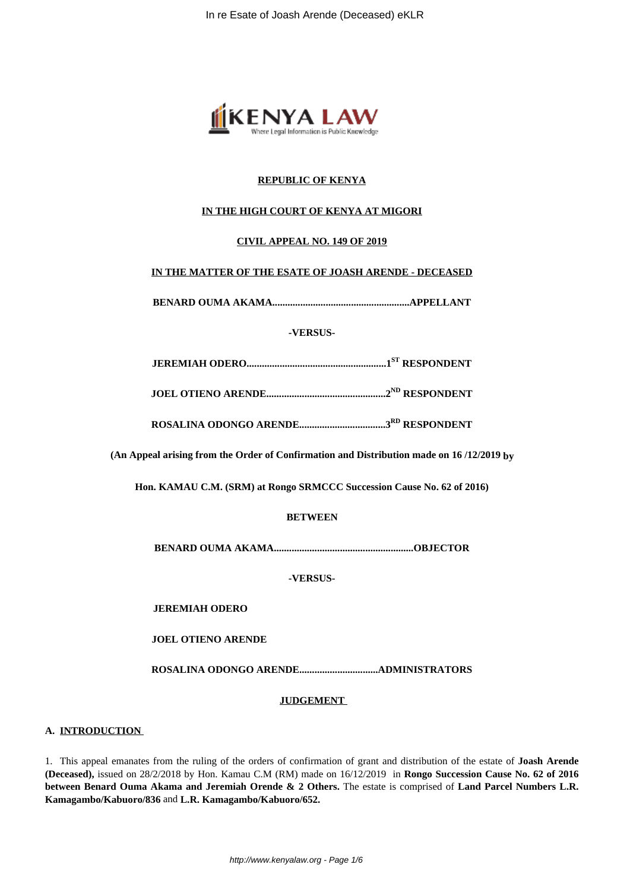

# **REPUBLIC OF KENYA**

# **IN THE HIGH COURT OF KENYA AT MIGORI**

# **CIVIL APPEAL NO. 149 OF 2019**

# **IN THE MATTER OF THE ESATE OF JOASH ARENDE - DECEASED**

**BENARD OUMA AKAMA......................................................APPELLANT**

**-VERSUS-**

|--|

**JOEL OTIENO ARENDE...............................................2ND RESPONDENT**

**ROSALINA ODONGO ARENDE..................................3RD RESPONDENT**

**(An Appeal arising from the Order of Confirmation and Distribution made on 16 /12/2019 by**

**Hon. KAMAU C.M. (SRM) at Rongo SRMCCC Succession Cause No. 62 of 2016)**

# **BETWEEN**

**BENARD OUMA AKAMA.......................................................OBJECTOR**

**-VERSUS-**

**JEREMIAH ODERO**

**JOEL OTIENO ARENDE**

**ROSALINA ODONGO ARENDE...............................ADMINISTRATORS**

### **JUDGEMENT**

# **A. INTRODUCTION**

1. This appeal emanates from the ruling of the orders of confirmation of grant and distribution of the estate of **Joash Arende (Deceased),** issued on 28/2/2018 by Hon. Kamau C.M (RM) made on 16/12/2019 in **Rongo Succession Cause No. 62 of 2016 between Benard Ouma Akama and Jeremiah Orende & 2 Others.** The estate is comprised of **Land Parcel Numbers L.R. Kamagambo/Kabuoro/836** and **L.R. Kamagambo/Kabuoro/652.**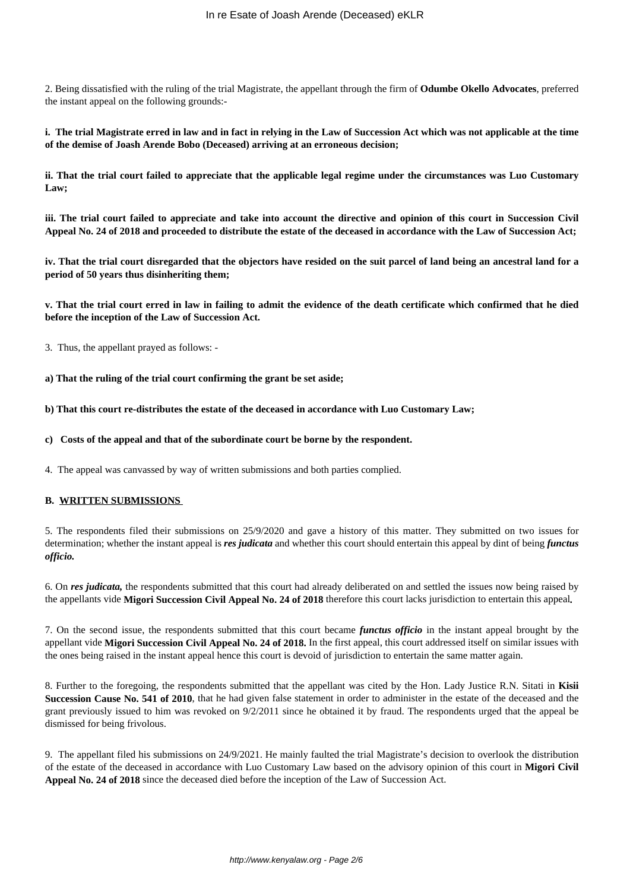2. Being dissatisfied with the ruling of the trial Magistrate, the appellant through the firm of **Odumbe Okello Advocates**, preferred the instant appeal on the following grounds:-

**i. The trial Magistrate erred in law and in fact in relying in the Law of Succession Act which was not applicable at the time of the demise of Joash Arende Bobo (Deceased) arriving at an erroneous decision;**

**ii. That the trial court failed to appreciate that the applicable legal regime under the circumstances was Luo Customary Law;**

**iii. The trial court failed to appreciate and take into account the directive and opinion of this court in Succession Civil Appeal No. 24 of 2018 and proceeded to distribute the estate of the deceased in accordance with the Law of Succession Act;**

**iv. That the trial court disregarded that the objectors have resided on the suit parcel of land being an ancestral land for a period of 50 years thus disinheriting them;**

**v. That the trial court erred in law in failing to admit the evidence of the death certificate which confirmed that he died before the inception of the Law of Succession Act.** 

3. Thus, the appellant prayed as follows: -

**a) That the ruling of the trial court confirming the grant be set aside;**

**b) That this court re-distributes the estate of the deceased in accordance with Luo Customary Law;**

**c) Costs of the appeal and that of the subordinate court be borne by the respondent.**

4. The appeal was canvassed by way of written submissions and both parties complied.

# **B. WRITTEN SUBMISSIONS**

5. The respondents filed their submissions on 25/9/2020 and gave a history of this matter. They submitted on two issues for determination; whether the instant appeal is *res judicata* and whether this court should entertain this appeal by dint of being *functus officio.* 

6. On *res judicata,* the respondents submitted that this court had already deliberated on and settled the issues now being raised by the appellants vide **Migori Succession Civil Appeal No. 24 of 2018** therefore this court lacks jurisdiction to entertain this appeal*.*

7. On the second issue, the respondents submitted that this court became *functus officio* in the instant appeal brought by the appellant vide **Migori Succession Civil Appeal No. 24 of 2018.** In the first appeal, this court addressed itself on similar issues with the ones being raised in the instant appeal hence this court is devoid of jurisdiction to entertain the same matter again.

8. Further to the foregoing, the respondents submitted that the appellant was cited by the Hon. Lady Justice R.N. Sitati in **Kisii Succession Cause No. 541 of 2010**, that he had given false statement in order to administer in the estate of the deceased and the grant previously issued to him was revoked on 9/2/2011 since he obtained it by fraud. The respondents urged that the appeal be dismissed for being frivolous.

9. The appellant filed his submissions on 24/9/2021. He mainly faulted the trial Magistrate's decision to overlook the distribution of the estate of the deceased in accordance with Luo Customary Law based on the advisory opinion of this court in **Migori Civil Appeal No. 24 of 2018** since the deceased died before the inception of the Law of Succession Act.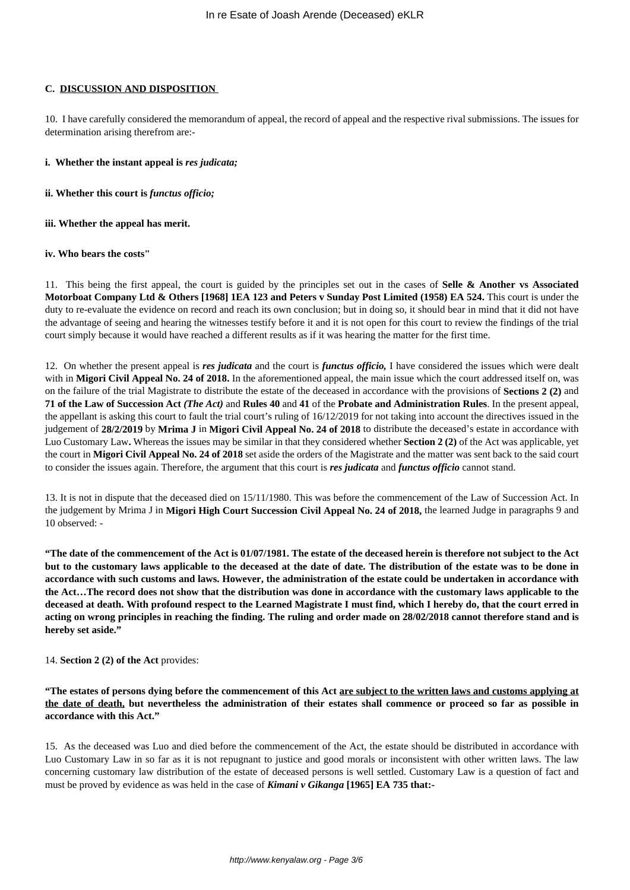# **C. DISCUSSION AND DISPOSITION**

10. I have carefully considered the memorandum of appeal, the record of appeal and the respective rival submissions. The issues for determination arising therefrom are:-

#### **i. Whether the instant appeal is** *res judicata;*

**ii. Whether this court is** *functus officio;*

### **iii. Whether the appeal has merit.**

### **iv. Who bears the costs"**

11. This being the first appeal, the court is guided by the principles set out in the cases of **Selle & Another vs Associated Motorboat Company Ltd & Others [1968] 1EA 123 and Peters v Sunday Post Limited (1958) EA 524.** This court is under the duty to re-evaluate the evidence on record and reach its own conclusion; but in doing so, it should bear in mind that it did not have the advantage of seeing and hearing the witnesses testify before it and it is not open for this court to review the findings of the trial court simply because it would have reached a different results as if it was hearing the matter for the first time.

12. On whether the present appeal is *res judicata* and the court is *functus officio,* I have considered the issues which were dealt with in **Migori Civil Appeal No. 24 of 2018.** In the aforementioned appeal, the main issue which the court addressed itself on, was on the failure of the trial Magistrate to distribute the estate of the deceased in accordance with the provisions of **Sections 2 (2)** and **71 of the Law of Succession Act** *(The Act)* and **Rules 40** and **41** of the **Probate and Administration Rules**. In the present appeal, the appellant is asking this court to fault the trial court's ruling of 16/12/2019 for not taking into account the directives issued in the judgement of **28/2/2019** by **Mrima J** in **Migori Civil Appeal No. 24 of 2018** to distribute the deceased's estate in accordance with Luo Customary Law**.** Whereas the issues may be similar in that they considered whether **Section 2 (2)** of the Act was applicable, yet the court in **Migori Civil Appeal No. 24 of 2018** set aside the orders of the Magistrate and the matter was sent back to the said court to consider the issues again. Therefore, the argument that this court is *res judicata* and *functus officio* cannot stand.

13. It is not in dispute that the deceased died on 15/11/1980. This was before the commencement of the Law of Succession Act. In the judgement by Mrima J in **Migori High Court Succession Civil Appeal No. 24 of 2018,** the learned Judge in paragraphs 9 and 10 observed: -

**"The date of the commencement of the Act is 01/07/1981. The estate of the deceased herein is therefore not subject to the Act but to the customary laws applicable to the deceased at the date of date. The distribution of the estate was to be done in accordance with such customs and laws. However, the administration of the estate could be undertaken in accordance with the Act…The record does not show that the distribution was done in accordance with the customary laws applicable to the deceased at death. With profound respect to the Learned Magistrate I must find, which I hereby do, that the court erred in acting on wrong principles in reaching the finding. The ruling and order made on 28/02/2018 cannot therefore stand and is hereby set aside."** 

### 14. **Section 2 (2) of the Act** provides:

**"The estates of persons dying before the commencement of this Act are subject to the written laws and customs applying at the date of death, but nevertheless the administration of their estates shall commence or proceed so far as possible in accordance with this Act."**

15. As the deceased was Luo and died before the commencement of the Act, the estate should be distributed in accordance with Luo Customary Law in so far as it is not repugnant to justice and good morals or inconsistent with other written laws. The law concerning customary law distribution of the estate of deceased persons is well settled. Customary Law is a question of fact and must be proved by evidence as was held in the case of *Kimani v Gikanga* **[1965] EA 735 that:-**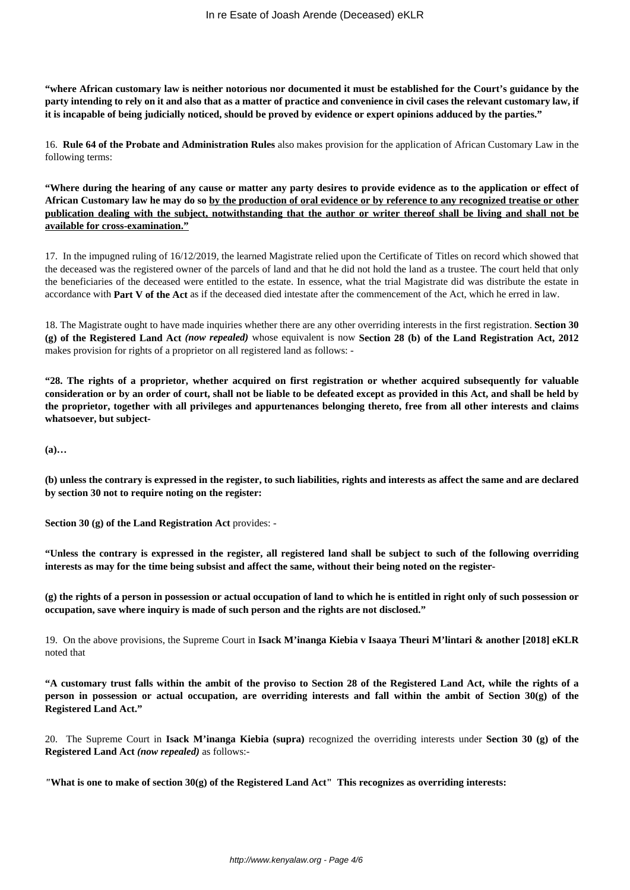**"where African customary law is neither notorious nor documented it must be established for the Court's guidance by the party intending to rely on it and also that as a matter of practice and convenience in civil cases the relevant customary law, if it is incapable of being judicially noticed, should be proved by evidence or expert opinions adduced by the parties."**

16. **Rule 64 of the Probate and Administration Rules** also makes provision for the application of African Customary Law in the following terms:

**"Where during the hearing of any cause or matter any party desires to provide evidence as to the application or effect of African Customary law he may do so by the production of oral evidence or by reference to any recognized treatise or other publication dealing with the subject, notwithstanding that the author or writer thereof shall be living and shall not be available for cross-examination."**

17. In the impugned ruling of 16/12/2019, the learned Magistrate relied upon the Certificate of Titles on record which showed that the deceased was the registered owner of the parcels of land and that he did not hold the land as a trustee. The court held that only the beneficiaries of the deceased were entitled to the estate. In essence, what the trial Magistrate did was distribute the estate in accordance with **Part V of the Act** as if the deceased died intestate after the commencement of the Act, which he erred in law.

18. The Magistrate ought to have made inquiries whether there are any other overriding interests in the first registration. **Section 30 (g) of the Registered Land Act** *(now repealed)* whose equivalent is now **Section 28 (b) of the Land Registration Act, 2012** makes provision for rights of a proprietor on all registered land as follows: -

**"28. The rights of a proprietor, whether acquired on first registration or whether acquired subsequently for valuable consideration or by an order of court, shall not be liable to be defeated except as provided in this Act, and shall be held by the proprietor, together with all privileges and appurtenances belonging thereto, free from all other interests and claims whatsoever, but subject-**

**(a)…**

**(b) unless the contrary is expressed in the register, to such liabilities, rights and interests as affect the same and are declared by section 30 not to require noting on the register:**

**Section 30 (g) of the Land Registration Act** provides: -

**"Unless the contrary is expressed in the register, all registered land shall be subject to such of the following overriding interests as may for the time being subsist and affect the same, without their being noted on the register-**

**(g) the rights of a person in possession or actual occupation of land to which he is entitled in right only of such possession or occupation, save where inquiry is made of such person and the rights are not disclosed."**

19. On the above provisions, the Supreme Court in **Isack M'inanga Kiebia v Isaaya Theuri M'lintari & another [2018] eKLR** noted that

**"A customary trust falls within the ambit of the proviso to Section 28 of the Registered Land Act, while the rights of a person in possession or actual occupation, are overriding interests and fall within the ambit of Section 30(g) of the Registered Land Act."**

20. The Supreme Court in **Isack M'inanga Kiebia (supra)** recognized the overriding interests under **Section 30 (g) of the Registered Land Act** *(now repealed)* as follows:-

*"***What is one to make of section 30(g) of the Registered Land Act" This recognizes as overriding interests:**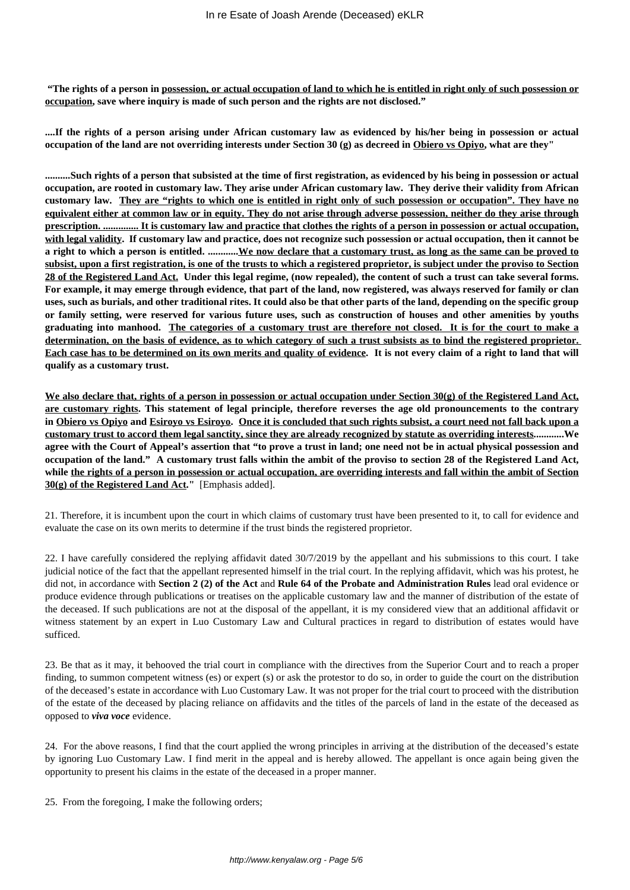**"The rights of a person in possession, or actual occupation of land to which he is entitled in right only of such possession or occupation, save where inquiry is made of such person and the rights are not disclosed."**

**....If the rights of a person arising under African customary law as evidenced by his/her being in possession or actual occupation of the land are not overriding interests under Section 30 (g) as decreed in Obiero vs Opiyo, what are they"**

**..........Such rights of a person that subsisted at the time of first registration, as evidenced by his being in possession or actual occupation, are rooted in customary law. They arise under African customary law. They derive their validity from African customary law. They are "rights to which one is entitled in right only of such possession or occupation". They have no equivalent either at common law or in equity. They do not arise through adverse possession, neither do they arise through prescription. .............. It is customary law and practice that clothes the rights of a person in possession or actual occupation, with legal validity. If customary law and practice, does not recognize such possession or actual occupation, then it cannot be a right to which a person is entitled. ............We now declare that a customary trust, as long as the same can be proved to subsist, upon a first registration, is one of the trusts to which a registered proprietor, is subject under the proviso to Section 28 of the Registered Land Act. Under this legal regime, (now repealed), the content of such a trust can take several forms. For example, it may emerge through evidence, that part of the land, now registered, was always reserved for family or clan uses, such as burials, and other traditional rites. It could also be that other parts of the land, depending on the specific group or family setting, were reserved for various future uses, such as construction of houses and other amenities by youths graduating into manhood. The categories of a customary trust are therefore not closed. It is for the court to make a determination, on the basis of evidence, as to which category of such a trust subsists as to bind the registered proprietor. Each case has to be determined on its own merits and quality of evidence. It is not every claim of a right to land that will qualify as a customary trust.**

**We also declare that, rights of a person in possession or actual occupation under Section 30(g) of the Registered Land Act, are customary rights. This statement of legal principle, therefore reverses the age old pronouncements to the contrary in Obiero vs Opiyo and Esiroyo vs Esiroyo. Once it is concluded that such rights subsist, a court need not fall back upon a customary trust to accord them legal sanctity, since they are already recognized by statute as overriding interests............We agree with the Court of Appeal's assertion that "to prove a trust in land; one need not be in actual physical possession and occupation of the land." A customary trust falls within the ambit of the proviso to section 28 of the Registered Land Act, while the rights of a person in possession or actual occupation, are overriding interests and fall within the ambit of Section 30(g) of the Registered Land Act."** [Emphasis added].

21. Therefore, it is incumbent upon the court in which claims of customary trust have been presented to it, to call for evidence and evaluate the case on its own merits to determine if the trust binds the registered proprietor.

22. I have carefully considered the replying affidavit dated 30/7/2019 by the appellant and his submissions to this court. I take judicial notice of the fact that the appellant represented himself in the trial court. In the replying affidavit, which was his protest, he did not, in accordance with **Section 2 (2) of the Act** and **Rule 64 of the Probate and Administration Rules** lead oral evidence or produce evidence through publications or treatises on the applicable customary law and the manner of distribution of the estate of the deceased. If such publications are not at the disposal of the appellant, it is my considered view that an additional affidavit or witness statement by an expert in Luo Customary Law and Cultural practices in regard to distribution of estates would have sufficed.

23. Be that as it may, it behooved the trial court in compliance with the directives from the Superior Court and to reach a proper finding, to summon competent witness (es) or expert (s) or ask the protestor to do so, in order to guide the court on the distribution of the deceased's estate in accordance with Luo Customary Law. It was not proper for the trial court to proceed with the distribution of the estate of the deceased by placing reliance on affidavits and the titles of the parcels of land in the estate of the deceased as opposed to *viva voce* evidence.

24. For the above reasons, I find that the court applied the wrong principles in arriving at the distribution of the deceased's estate by ignoring Luo Customary Law. I find merit in the appeal and is hereby allowed. The appellant is once again being given the opportunity to present his claims in the estate of the deceased in a proper manner.

25. From the foregoing, I make the following orders;